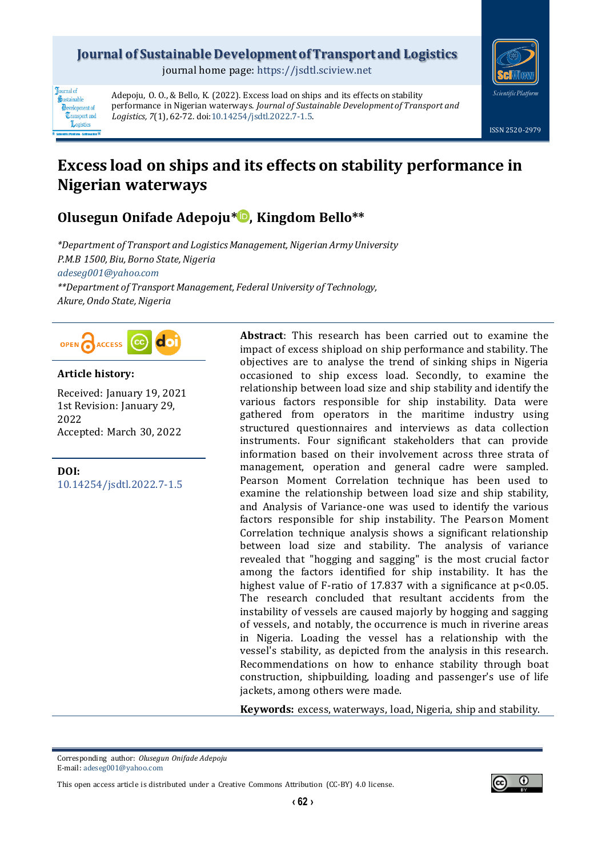### **Journal of Sustainable Development of Transport and Logistics**

journal home page[: https://jsdtl.sciview.net](https://jsdtl.sciview.net/)



**Tournal** of Sustainable **D**evelopment of **Transport** and Logistics

Adepoju, O. O., & Bello, K. (2022). Excess load on ships and its effects on stability performance in Nigerian waterways. *Journal of Sustainable Development of Transport and Logistics, 7*(1), 62-72. doi[:10.14254/jsdtl.2022.7-1.5.](https://doi.org/10.14254/jsdtl.2022.7-1.5)

# **Excess load on ships and its effects on stability performance in Nigerian waterways**

## **Olusegun Onifade Adepoju\* [,](https://orcid.org/0000-0002-9846-182X) Kingdom Bello\*\***

*\*Department of Transport and Logistics Management, Nigerian Army University P.M.B 1500, Biu, Borno State, Nigeria [adeseg001@yahoo.com](mailto:adeseg001@yahoo.com)*

*\*\*Department of Transport Management, Federal University of Technology, Akure, Ondo State,Nigeria*



### **Article history:**

Received: January 19, 2021 1st Revision: January 29, 2022 Accepted: March 30, 2022

**DOI:** [10.14254/jsdtl.2022.7-1.5](https://doi.org/10.14254/jsdtl.2022.7-1.5)

**Abstract**: This research has been carried out to examine the impact of excess shipload on ship performance and stability. The objectives are to analyse the trend of sinking ships in Nigeria occasioned to ship excess load. Secondly, to examine the relationship between load size and ship stability and identify the various factors responsible for ship instability. Data were gathered from operators in the maritime industry using structured questionnaires and interviews as data collection instruments. Four significant stakeholders that can provide information based on their involvement across three strata of management, operation and general cadre were sampled. Pearson Moment Correlation technique has been used to examine the relationship between load size and ship stability, and Analysis of Variance-one was used to identify the various factors responsible for ship instability. The Pearson Moment Correlation technique analysis shows a significant relationship between load size and stability. The analysis of variance revealed that "hogging and sagging" is the most crucial factor among the factors identified for ship instability. It has the highest value of F-ratio of 17.837 with a significance at p<0.05. The research concluded that resultant accidents from the instability of vessels are caused majorly by hogging and sagging of vessels, and notably, the occurrence is much in riverine areas in Nigeria. Loading the vessel has a relationship with the vessel's stability, as depicted from the analysis in this research. Recommendations on how to enhance stability through boat construction, shipbuilding, loading and passenger's use of life jackets, among others were made.

**Keywords:** excess, waterways, load, Nigeria, ship and stability.

Corresponding author: *Olusegun Onifade Adepoju* E-mail: [adeseg001@yahoo.com](mailto:adeseg001@yahoo.com)

This open access article is distributed under a [Creative Commons Attribution \(CC-BY\) 4.0 license.](http://creativecommons.org/licenses/by/4.0/)

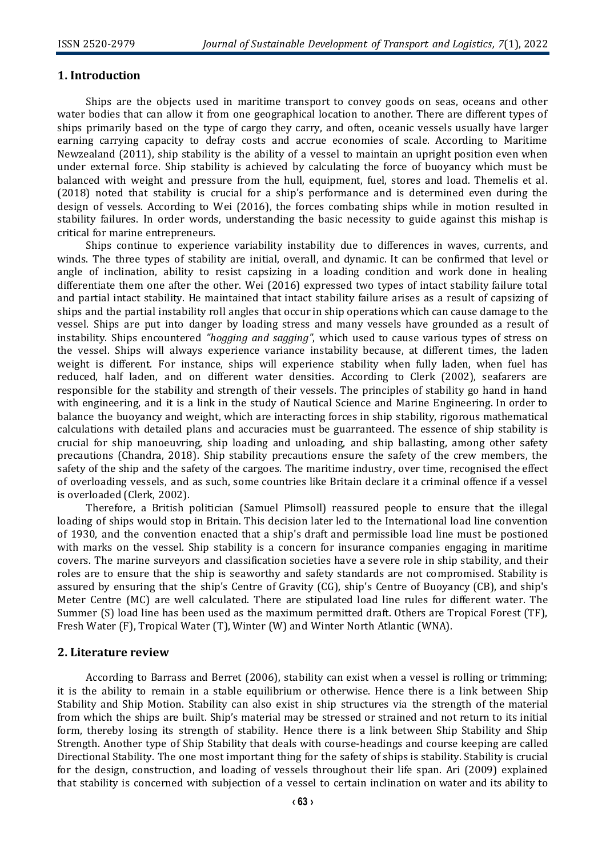#### **1. Introduction**

Ships are the objects used in maritime transport to convey goods on seas, oceans and other water bodies that can allow it from one geographical location to another. There are different types of ships primarily based on the type of cargo they carry, and often, oceanic vessels usually have larger earning carrying capacity to defray costs and accrue economies of scale. According to Maritime Newzealand (2011), ship stability is the ability of a vessel to maintain an upright position even when under external force. Ship stability is achieved by calculating the force of buoyancy which must be balanced with weight and pressure from the hull, equipment, fuel, stores and load. Themelis et al. (2018) noted that stability is crucial for a ship's performance and is determined even during the design of vessels. According to Wei (2016), the forces combating ships while in motion resulted in stability failures. In order words, understanding the basic necessity to guide against this mishap is critical for marine entrepreneurs.

Ships continue to experience variability instability due to differences in waves, currents, and winds. The three types of stability are initial, overall, and dynamic. It can be confirmed that level or angle of inclination, ability to resist capsizing in a loading condition and work done in healing differentiate them one after the other. Wei (2016) expressed two types of intact stability failure total and partial intact stability. He maintained that intact stability failure arises as a result of capsizing of ships and the partial instability roll angles that occur in ship operations which can cause damage to the vessel. Ships are put into danger by loading stress and many vessels have grounded as a result of instability. Ships encountered *"hogging and sagging"*, which used to cause various types of stress on the vessel. Ships will always experience variance instability because, at different times, the laden weight is different. For instance, ships will experience stability when fully laden, when fuel has reduced, half laden, and on different water densities. According to Clerk (2002), seafarers are responsible for the stability and strength of their vessels. The principles of stability go hand in hand with engineering, and it is a link in the study of Nautical Science and Marine Engineering. In order to balance the buoyancy and weight, which are interacting forces in ship stability, rigorous mathematical calculations with detailed plans and accuracies must be guarranteed. The essence of ship stability is crucial for ship manoeuvring, ship loading and unloading, and ship ballasting, among other safety precautions (Chandra, 2018). Ship stability precautions ensure the safety of the crew members, the safety of the ship and the safety of the cargoes. The maritime industry, over time, recognised the effect of overloading vessels, and as such, some countries like Britain declare it a criminal offence if a vessel is overloaded (Clerk, 2002).

Therefore, a British politician (Samuel Plimsoll) reassured people to ensure that the illegal loading of ships would stop in Britain. This decision later led to the International load line convention of 1930, and the convention enacted that a ship's draft and permissible load line must be postioned with marks on the vessel. Ship stability is a concern for insurance companies engaging in maritime covers. The marine surveyors and classification societies have a severe role in ship stability, and their roles are to ensure that the ship is seaworthy and safety standards are not compromised. Stability is assured by ensuring that the ship's Centre of Gravity (CG), ship's Centre of Buoyancy (CB), and ship's Meter Centre (MC) are well calculated. There are stipulated load line rules for different water. The Summer (S) load line has been used as the maximum permitted draft. Others are Tropical Forest (TF), Fresh Water (F), Tropical Water (T), Winter (W) and Winter North Atlantic (WNA).

#### **2. Literature review**

According to Barrass and Berret (2006), stability can exist when a vessel is rolling or trimming; it is the ability to remain in a stable equilibrium or otherwise. Hence there is a link between Ship Stability and Ship Motion. Stability can also exist in ship structures via the strength of the material from which the ships are built. Ship's material may be stressed or strained and not return to its initial form, thereby losing its strength of stability. Hence there is a link between Ship Stability and Ship Strength. Another type of Ship Stability that deals with course-headings and course keeping are called Directional Stability. The one most important thing for the safety of ships is stability. Stability is crucial for the design, construction, and loading of vessels throughout their life span. Ari (2009) explained that stability is concerned with subjection of a vessel to certain inclination on water and its ability to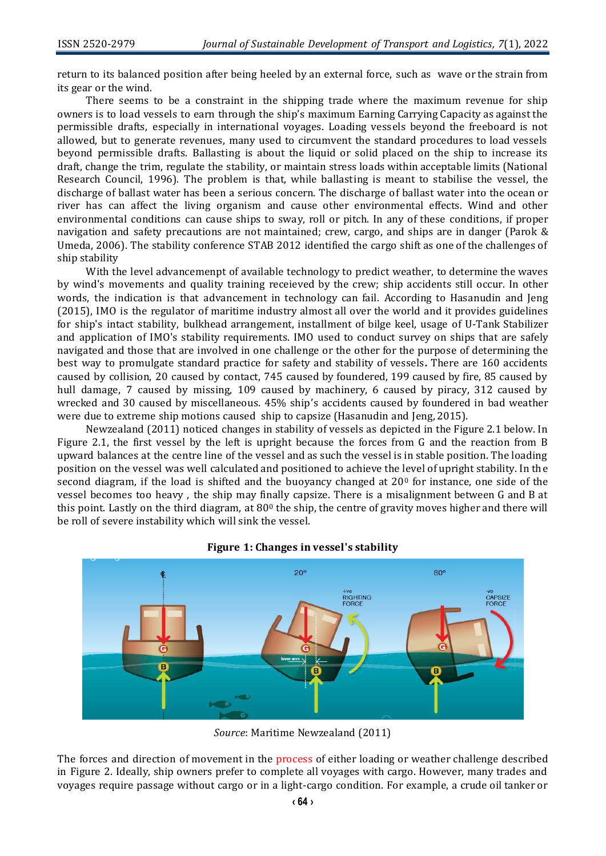return to its balanced position after being heeled by an external force, such as wave or the strain from its gear or the wind.

There seems to be a constraint in the shipping trade where the maximum revenue for ship owners is to load vessels to earn through the ship's maximum Earning Carrying Capacity as against the permissible drafts, especially in international voyages. Loading vessels beyond the freeboard is not allowed, but to generate revenues, many used to circumvent the standard procedures to load vessels beyond permissible drafts. Ballasting is about the liquid or solid placed on the ship to increase its draft, change the trim, regulate the stability, or maintain stress loads within acceptable limits (National Research Council, 1996). The problem is that, while ballasting is meant to stabilise the vessel, the discharge of ballast water has been a serious concern. The discharge of ballast water into the ocean or river has can affect the living organism and cause other environmental effects. Wind and other environmental conditions can cause ships to sway, roll or pitch. In any of these conditions, if proper navigation and safety precautions are not maintained; crew, cargo, and ships are in danger (Parok & Umeda, 2006). The stability conference STAB 2012 identified the cargo shift as one of the challenges of ship stability

With the level advancemenpt of available technology to predict weather, to determine the waves by wind's movements and quality training receieved by the crew; ship accidents still occur. In other words, the indication is that advancement in technology can fail. According to Hasanudin and Jeng (2015), IMO is the regulator of maritime industry almost all over the world and it provides guidelines for ship's intact stability, bulkhead arrangement, installment of bilge keel, usage of U-Tank Stabilizer and application of IMO's stability requirements. IMO used to conduct survey on ships that are safely navigated and those that are involved in one challenge or the other for the purpose of determining the best way to promulgate standard practice for safety and stability of vessels**.** There are 160 accidents caused by collision, 20 caused by contact, 745 caused by foundered, 199 caused by fire, 85 caused by hull damage, 7 caused by missing, 109 caused by machinery, 6 caused by piracy, 312 caused by wrecked and 30 caused by miscellaneous. 45% ship's accidents caused by foundered in bad weather were due to extreme ship motions caused ship to capsize (Hasanudin and Jeng, 2015).

Newzealand (2011) noticed changes in stability of vessels as depicted in the Figure 2.1 below. In Figure 2.1, the first vessel by the left is upright because the forces from G and the reaction from B upward balances at the centre line of the vessel and as such the vessel is in stable position. The loading position on the vessel was well calculated and positioned to achieve the level of upright stability. In the second diagram, if the load is shifted and the buoyancy changed at  $20<sup>0</sup>$  for instance, one side of the vessel becomes too heavy , the ship may finally capsize. There is a misalignment between G and B at this point. Lastly on the third diagram, at  $80^\circ$  the ship, the centre of gravity moves higher and there will be roll of severe instability which will sink the vessel.



#### **Figure 1: Changes in vessel's stability**

The forces and direction of movement in the process of either loading or weather challenge described in Figure 2. Ideally, ship owners prefer to complete all voyages with cargo. However, many trades and voyages require passage without cargo or in a light-cargo condition. For example, a crude oil tanker or

*Source*: Maritime Newzealand (2011)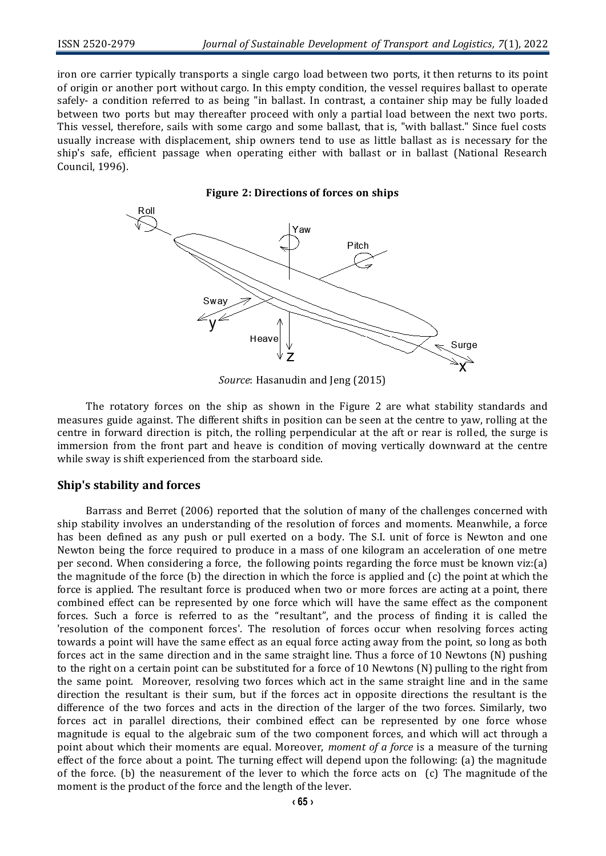iron ore carrier typically transports a single cargo load between two ports, it then returns to its point of origin or another port without cargo. In this empty condition, the vessel requires ballast to operate safely- a condition referred to as being "in ballast. In contrast, a container ship may be fully loaded between two ports but may thereafter proceed with only a partial load between the next two ports. This vessel, therefore, sails with some cargo and some ballast, that is, "with ballast." Since fuel costs usually increase with displacement, ship owners tend to use as little ballast as is necessary for the ship's safe, efficient passage when operating either with ballast or in ballast (National Research Council, 1996).



*Source*: Hasanudin and Jeng (2015)

The rotatory forces on the ship as shown in the Figure 2 are what stability standards and measures guide against. The different shifts in position can be seen at the centre to yaw, rolling at the centre in forward direction is pitch, the rolling perpendicular at the aft or rear is rolled, the surge is immersion from the front part and heave is condition of moving vertically downward at the centre while sway is shift experienced from the starboard side.

#### **Ship's stability and forces**

Barrass and Berret (2006) reported that the solution of many of the challenges concerned with ship stability involves an understanding of the resolution of forces and moments. Meanwhile, a force has been defined as any push or pull exerted on a body. The S.I. unit of force is Newton and one Newton being the force required to produce in a mass of one kilogram an acceleration of one metre per second. When considering a force, the following points regarding the force must be known viz:(a) the magnitude of the force (b) the direction in which the force is applied and (c) the point at which the force is applied. The resultant force is produced when two or more forces are acting at a point, there combined effect can be represented by one force which will have the same effect as the component forces. Such a force is referred to as the "resultant", and the process of finding it is called the 'resolution of the component forces'. The resolution of forces occur when resolving forces acting towards a point will have the same effect as an equal force acting away from the point, so long as both forces act in the same direction and in the same straight line. Thus a force of 10 Newtons (N) pushing to the right on a certain point can be substituted for a force of 10 Newtons (N) pulling to the right from the same point. Moreover, resolving two forces which act in the same straight line and in the same direction the resultant is their sum, but if the forces act in opposite directions the resultant is the difference of the two forces and acts in the direction of the larger of the two forces. Similarly, two forces act in parallel directions, their combined effect can be represented by one force whose magnitude is equal to the algebraic sum of the two component forces, and which will act through a point about which their moments are equal. Moreover, *moment of a force* is a measure of the turning effect of the force about a point. The turning effect will depend upon the following: (a) the magnitude of the force. (b) the neasurement of the lever to which the force acts on (c) The magnitude of the moment is the product of the force and the length of the lever.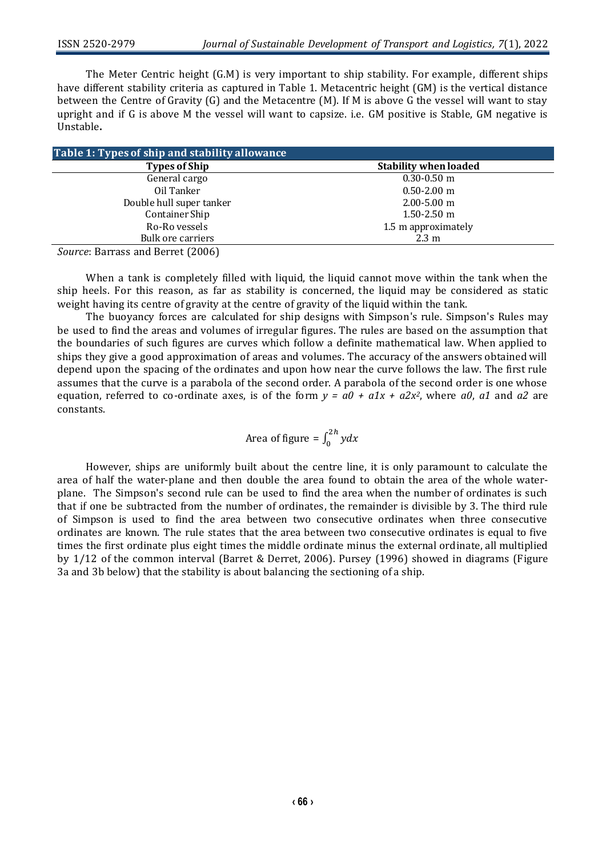The Meter Centric height (G.M) is very important to ship stability. For example, different ships have different stability criteria as captured in Table 1. Metacentric height (GM) is the vertical distance between the Centre of Gravity (G) and the Metacentre (M). If M is above G the vessel will want to stay upright and if G is above M the vessel will want to capsize. i.e. GM positive is Stable, GM negative is Unstable**.**

| Table 1: Types of ship and stability allowance |                              |
|------------------------------------------------|------------------------------|
| <b>Types of Ship</b>                           | <b>Stability when loaded</b> |
| General cargo                                  | $0.30 - 0.50$ m              |
| Oil Tanker                                     | $0.50 - 2.00$ m              |
| Double hull super tanker                       | $2.00 - 5.00$ m              |
| Container Ship                                 | $1.50 - 2.50$ m              |
| Ro-Ro vessels                                  | 1.5 m approximately          |
| Bulk ore carriers                              | $2.3 \text{ m}$              |

*Source*: Barrass and Berret (2006)

When a tank is completely filled with liquid, the liquid cannot move within the tank when the ship heels. For this reason, as far as stability is concerned, the liquid may be considered as static weight having its centre of gravity at the centre of gravity of the liquid within the tank.

The buoyancy forces are calculated for ship designs with Simpson's rule. Simpson's Rules may be used to find the areas and volumes of irregular figures. The rules are based on the assumption that the boundaries of such figures are curves which follow a definite mathematical law. When applied to ships they give a good approximation of areas and volumes. The accuracy of the answers obtained will depend upon the spacing of the ordinates and upon how near the curve follows the law. The first rule assumes that the curve is a parabola of the second order. A parabola of the second order is one whose equation, referred to co-ordinate axes, is of the form  $y = a0 + a1x + a2x^2$ , where a0, a1 and a2 are constants.

Area of figure =  $\int_0^{2h} y dx$ 

However, ships are uniformly built about the centre line, it is only paramount to calculate the area of half the water-plane and then double the area found to obtain the area of the whole waterplane. The Simpson's second rule can be used to find the area when the number of ordinates is such that if one be subtracted from the number of ordinates, the remainder is divisible by 3. The third rule of Simpson is used to find the area between two consecutive ordinates when three consecutive ordinates are known. The rule states that the area between two consecutive ordinates is equal to five times the first ordinate plus eight times the middle ordinate minus the external ordinate, all multiplied by 1/12 of the common interval (Barret & Derret, 2006). Pursey (1996) showed in diagrams (Figure 3a and 3b below) that the stability is about balancing the sectioning of a ship.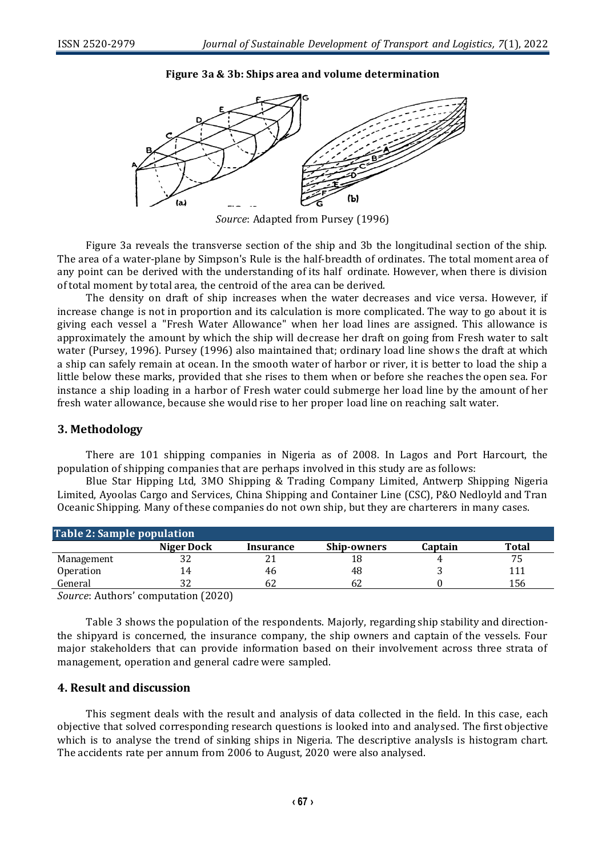#### **Figure 3a & 3b: Ships area and volume determination**



*Source*: Adapted from Pursey (1996)

Figure 3a reveals the transverse section of the ship and 3b the longitudinal section of the ship. The area of a water-plane by Simpson's Rule is the half-breadth of ordinates. The total moment area of any point can be derived with the understanding of its half ordinate. However, when there is division of total moment by total area, the centroid of the area can be derived.

The density on draft of ship increases when the water decreases and vice versa. However, if increase change is not in proportion and its calculation is more complicated. The way to go about it is giving each vessel a "Fresh Water Allowance" when her load lines are assigned. This allowance is approximately the amount by which the ship will decrease her draft on going from Fresh water to salt water (Pursey, 1996). Pursey (1996) also maintained that; ordinary load line shows the draft at which a ship can safely remain at ocean. In the smooth water of harbor or river, it is better to load the ship a little below these marks, provided that she rises to them when or before she reaches the open sea. For instance a ship loading in a harbor of Fresh water could submerge her load line by the amount of her fresh water allowance, because she would rise to her proper load line on reaching salt water.

#### **3. Methodology**

There are 101 shipping companies in Nigeria as of 2008. In Lagos and Port Harcourt, the population of shipping companies that are perhaps involved in this study are as follows:

Blue Star Hipping Ltd, 3MO Shipping & Trading Company Limited, Antwerp Shipping Nigeria Limited, Ayoolas Cargo and Services, China Shipping and Container Line (CSC), P&O Nedloyld and Tran Oceanic Shipping. Many of these companies do not own ship, but they are charterers in many cases.

| Table 2: Sample population        |              |           |                    |         |       |
|-----------------------------------|--------------|-----------|--------------------|---------|-------|
|                                   | Niger Dock   | Insurance | <b>Ship-owners</b> | Captain | Total |
| Management                        | ے ت          | 21        |                    |         | 75    |
| <b>Operation</b>                  | 14           | 46        | 48                 |         |       |
| General                           |              | 62        | 62                 |         | 156   |
| $\sqrt{ }$<br>$\lambda$ $\lambda$ | (0.000)<br>. |           |                    |         |       |

*Source*: Authors' computation (2020)

Table 3 shows the population of the respondents. Majorly, regarding ship stability and directionthe shipyard is concerned, the insurance company, the ship owners and captain of the vessels. Four major stakeholders that can provide information based on their involvement across three strata of management, operation and general cadre were sampled.

#### **4. Result and discussion**

This segment deals with the result and analysis of data collected in the field. In this case, each objective that solved corresponding research questions is looked into and analysed. The first objective which is to analyse the trend of sinking ships in Nigeria. The descriptive analysIs is histogram chart. The accidents rate per annum from 2006 to August, 2020 were also analysed.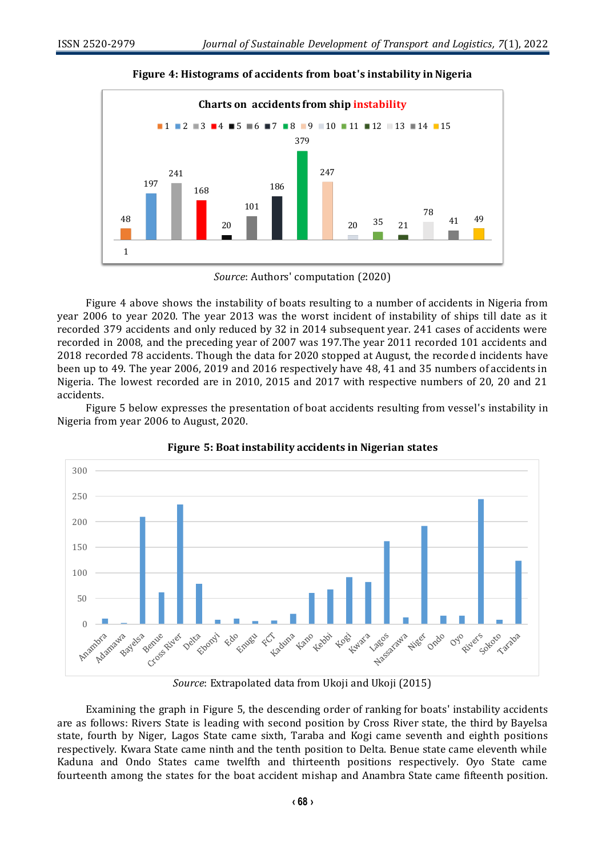

**Figure 4: Histograms of accidents from boat's instability in Nigeria**

*Source*: Authors' computation (2020)

Figure 4 above shows the instability of boats resulting to a number of accidents in Nigeria from year 2006 to year 2020. The year 2013 was the worst incident of instability of ships till date as it recorded 379 accidents and only reduced by 32 in 2014 subsequent year. 241 cases of accidents were recorded in 2008, and the preceding year of 2007 was 197.The year 2011 recorded 101 accidents and 2018 recorded 78 accidents. Though the data for 2020 stopped at August, the recorded incidents have been up to 49. The year 2006, 2019 and 2016 respectively have 48, 41 and 35 numbers of accidents in Nigeria. The lowest recorded are in 2010, 2015 and 2017 with respective numbers of 20, 20 and 21 accidents.

Figure 5 below expresses the presentation of boat accidents resulting from vessel's instability in Nigeria from year 2006 to August, 2020.





*Source*: Extrapolated data from Ukoji and Ukoji (2015)

Examining the graph in Figure 5, the descending order of ranking for boats' instability accidents are as follows: Rivers State is leading with second position by Cross River state, the third by Bayelsa state, fourth by Niger, Lagos State came sixth, Taraba and Kogi came seventh and eighth positions respectively. Kwara State came ninth and the tenth position to Delta. Benue state came eleventh while Kaduna and Ondo States came twelfth and thirteenth positions respectively. Oyo State came fourteenth among the states for the boat accident mishap and Anambra State came fifteenth position.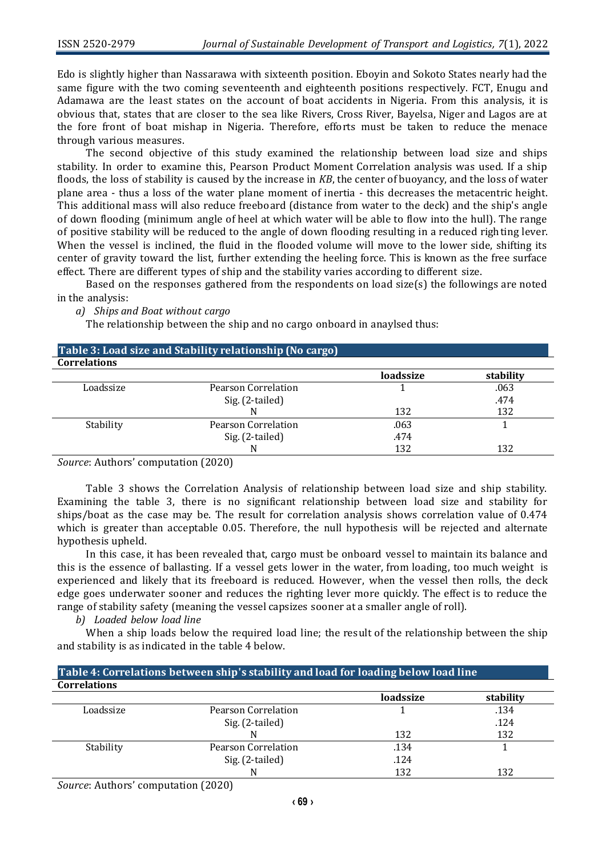Edo is slightly higher than Nassarawa with sixteenth position. Eboyin and Sokoto States nearly had the same figure with the two coming seventeenth and eighteenth positions respectively. FCT, Enugu and Adamawa are the least states on the account of boat accidents in Nigeria. From this analysis, it is obvious that, states that are closer to the sea like Rivers, Cross River, Bayelsa, Niger and Lagos are at the fore front of boat mishap in Nigeria. Therefore, efforts must be taken to reduce the menace through various measures.

The second objective of this study examined the relationship between load size and ships stability. In order to examine this, Pearson Product Moment Correlation analysis was used. If a ship floods, the loss of stability is caused by the increase in *KB*, the center of buoyancy, and the loss of water plane area - thus a loss of the water plane moment of inertia - this decreases the metacentric height. This additional mass will also reduce freeboard (distance from water to the deck) and the ship's angle of down flooding (minimum angle of heel at which water will be able to flow into the hull). The range of positive stability will be reduced to the angle of down flooding resulting in a reduced righting lever. When the vessel is inclined, the fluid in the flooded volume will move to the lower side, shifting its center of gravity toward the list, further extending the heeling force. This is known as the free surface effect. There are different types of ship and the stability varies according to different size.

Based on the responses gathered from the respondents on load size(s) the followings are noted in the analysis:

*a) Ships and Boat without cargo*

The relationship between the ship and no cargo onboard in anaylsed thus:

| Table 3: Load size and Stability relationship (No cargo) |                     |           |           |  |
|----------------------------------------------------------|---------------------|-----------|-----------|--|
| <b>Correlations</b>                                      |                     |           |           |  |
|                                                          |                     | loadssize | stability |  |
| Loadssize                                                | Pearson Correlation |           | .063      |  |
|                                                          | Sig. (2-tailed)     |           | .474      |  |
|                                                          |                     | 132       | 132       |  |
| Stability                                                | Pearson Correlation | .063      |           |  |
|                                                          | Sig. (2-tailed)     | .474      |           |  |
|                                                          |                     | 132       | 132       |  |

*Source*: Authors' computation (2020)

Table 3 shows the Correlation Analysis of relationship between load size and ship stability. Examining the table 3, there is no significant relationship between load size and stability for ships/boat as the case may be. The result for correlation analysis shows correlation value of 0.474 which is greater than acceptable 0.05. Therefore, the null hypothesis will be rejected and alternate hypothesis upheld.

In this case, it has been revealed that, cargo must be onboard vessel to maintain its balance and this is the essence of ballasting. If a vessel gets lower in the water, from loading, too much weight is experienced and likely that its freeboard is reduced. However, when the vessel then rolls, the deck edge goes underwater sooner and reduces the righting lever more quickly. The effect is to reduce the range of stability safety (meaning the vessel capsizes sooner at a smaller angle of roll).

*b) Loaded below load line*

When a ship loads below the required load line; the result of the relationship between the ship and stability is as indicated in the table 4 below.

| Table 4: Correlations between ship's stability and load for loading below load line |                     |           |           |  |
|-------------------------------------------------------------------------------------|---------------------|-----------|-----------|--|
| <b>Correlations</b>                                                                 |                     |           |           |  |
|                                                                                     |                     | loadssize | stability |  |
| Loadssize                                                                           | Pearson Correlation |           | .134      |  |
|                                                                                     | Sig. (2-tailed)     |           | .124      |  |
|                                                                                     |                     | 132       | 132       |  |
| Stability                                                                           | Pearson Correlation | .134      |           |  |
|                                                                                     | Sig. (2-tailed)     | .124      |           |  |
|                                                                                     |                     | 132       | 132       |  |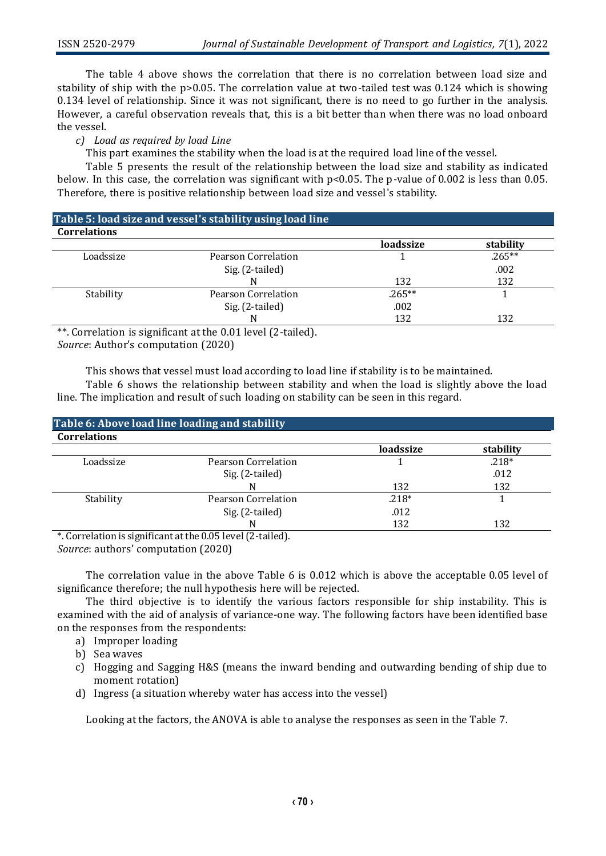The table 4 above shows the correlation that there is no correlation between load size and stability of ship with the p>0.05. The correlation value at two-tailed test was 0.124 which is showing 0.134 level of relationship. Since it was not significant, there is no need to go further in the analysis. However, a careful observation reveals that, this is a bit better than when there was no load onboard the vessel.

*c) Load as required by load Line*

This part examines the stability when the load is at the required load line of the vessel.

Table 5 presents the result of the relationship between the load size and stability as indicated below. In this case, the correlation was significant with p<0.05. The p-value of 0.002 is less than 0.05. Therefore, there is positive relationship between load size and vessel's stability.

#### **Table 5: load size and vessel's stability using load line Correlations**

|                     | loadssize | stability |
|---------------------|-----------|-----------|
| Pearson Correlation |           | $.265***$ |
| Sig. (2-tailed)     |           | .002      |
|                     | 132       | 132       |
| Pearson Correlation | $.265***$ |           |
| Sig. (2-tailed)     | .002      |           |
|                     | 132       | 132       |
|                     |           |           |

\*\*. Correlation is significant at the 0.01 level (2-tailed). *Source*: Author's computation (2020)

This shows that vessel must load according to load line if stability is to be maintained.

Table 6 shows the relationship between stability and when the load is slightly above the load line. The implication and result of such loading on stability can be seen in this regard.

| Table 6: Above load line loading and stability |                     |           |           |  |  |
|------------------------------------------------|---------------------|-----------|-----------|--|--|
| <b>Correlations</b>                            |                     |           |           |  |  |
|                                                |                     | loadssize | stability |  |  |
| Loadssize                                      | Pearson Correlation |           | $.218*$   |  |  |
|                                                | Sig. (2-tailed)     |           | .012      |  |  |
|                                                |                     | 132       | 132       |  |  |
| Stability                                      | Pearson Correlation | $.218*$   |           |  |  |
|                                                | Sig. (2-tailed)     | .012      |           |  |  |
|                                                |                     | 132       | 132       |  |  |

\*. Correlation is significant at the 0.05 level (2-tailed).

*Source*: authors' computation (2020)

The correlation value in the above Table 6 is 0.012 which is above the acceptable 0.05 level of significance therefore; the null hypothesis here will be rejected.

The third objective is to identify the various factors responsible for ship instability. This is examined with the aid of analysis of variance-one way. The following factors have been identified base on the responses from the respondents:

- a) Improper loading
- b) Sea waves
- c) Hogging and Sagging H&S (means the inward bending and outwarding bending of ship due to moment rotation)
- d) Ingress (a situation whereby water has access into the vessel)

Looking at the factors, the ANOVA is able to analyse the responses as seen in the Table 7.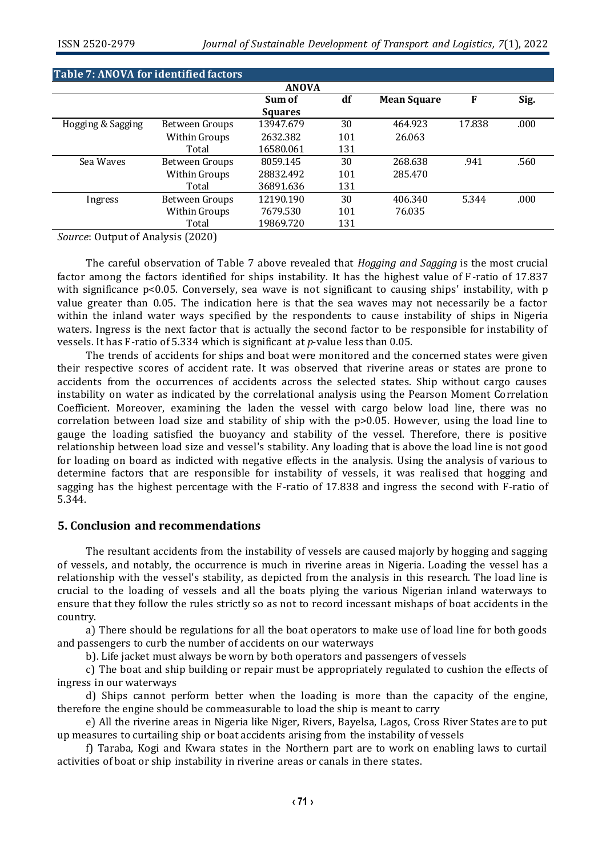|                   |                | <b>ANOVA</b>   |     |                    |        |      |
|-------------------|----------------|----------------|-----|--------------------|--------|------|
|                   |                | Sum of         | df  | <b>Mean Square</b> | F      | Sig. |
|                   |                | <b>Squares</b> |     |                    |        |      |
| Hogging & Sagging | Between Groups | 13947.679      | 30  | 464.923            | 17.838 | .000 |
|                   | Within Groups  | 2632.382       | 101 | 26.063             |        |      |
|                   | Total          | 16580.061      | 131 |                    |        |      |
| Sea Waves         | Between Groups | 8059.145       | 30  | 268.638            | .941   | .560 |
|                   | Within Groups  | 28832.492      | 101 | 285.470            |        |      |
|                   | Total          | 36891.636      | 131 |                    |        |      |
| Ingress           | Between Groups | 12190.190      | 30  | 406.340            | 5.344  | .000 |
|                   | Within Groups  | 7679.530       | 101 | 76.035             |        |      |
|                   | Total          | 19869.720      | 131 |                    |        |      |

*Source*: Output of Analysis (2020)

The careful observation of Table 7 above revealed that *Hogging and Sagging* is the most crucial factor among the factors identified for ships instability. It has the highest value of F-ratio of 17.837 with significance p<0.05. Conversely, sea wave is not significant to causing ships' instability, with p value greater than 0.05. The indication here is that the sea waves may not necessarily be a factor within the inland water ways specified by the respondents to cause instability of ships in Nigeria waters. Ingress is the next factor that is actually the second factor to be responsible for instability of vessels. It has F-ratio of 5.334 which is significant at *p*-value less than 0.05.

The trends of accidents for ships and boat were monitored and the concerned states were given their respective scores of accident rate. It was observed that riverine areas or states are prone to accidents from the occurrences of accidents across the selected states. Ship without cargo causes instability on water as indicated by the correlational analysis using the Pearson Moment Correlation Coefficient. Moreover, examining the laden the vessel with cargo below load line, there was no correlation between load size and stability of ship with the p>0.05. However, using the load line to gauge the loading satisfied the buoyancy and stability of the vessel. Therefore, there is positive relationship between load size and vessel's stability. Any loading that is above the load line is not good for loading on board as indicted with negative effects in the analysis. Using the analysis of various to determine factors that are responsible for instability of vessels, it was realised that hogging and sagging has the highest percentage with the F-ratio of 17.838 and ingress the second with F-ratio of 5.344.

#### **5. Conclusion and recommendations**

The resultant accidents from the instability of vessels are caused majorly by hogging and sagging of vessels, and notably, the occurrence is much in riverine areas in Nigeria. Loading the vessel has a relationship with the vessel's stability, as depicted from the analysis in this research. The load line is crucial to the loading of vessels and all the boats plying the various Nigerian inland waterways to ensure that they follow the rules strictly so as not to record incessant mishaps of boat accidents in the country.

a) There should be regulations for all the boat operators to make use of load line for both goods and passengers to curb the number of accidents on our waterways

b). Life jacket must always be worn by both operators and passengers of vessels

c) The boat and ship building or repair must be appropriately regulated to cushion the effects of ingress in our waterways

d) Ships cannot perform better when the loading is more than the capacity of the engine, therefore the engine should be commeasurable to load the ship is meant to carry

e) All the riverine areas in Nigeria like Niger, Rivers, Bayelsa, Lagos, Cross River States are to put up measures to curtailing ship or boat accidents arising from the instability of vessels

f) Taraba, Kogi and Kwara states in the Northern part are to work on enabling laws to curtail activities of boat or ship instability in riverine areas or canals in there states.